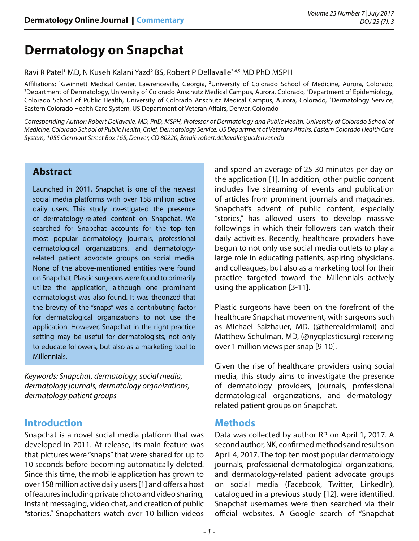# **Dermatology on Snapchat**

Ravi R Patel<sup>1</sup> MD, N Kuseh Kalani Yazd<sup>2</sup> BS, Robert P Dellavalle<sup>3,4,5</sup> MD PhD MSPH

Affiliations: 'Gwinnett Medical Center, Lawrenceville, Georgia, <sup>2</sup>University of Colorado School of Medicine, Aurora, Colorado,<br><sup>3</sup>Department of Dermatology University of Colorado Anschutz Medical Campus, Aurora Colorado <sup></sup> Department of Dermatology, University of Colorado Anschutz Medical Campus, Aurora, Colorado, <sup>4</sup>Department of Epidemiology, Colorado School of Public Health, University of Colorado Anschutz Medical Campus, Aurora, Colorado, <sup>5</sup>Dermatology Service, Eastern Colorado Health Care System, US Department of Veteran Affairs, Denver, Colorado

*Corresponding Author: Robert Dellavalle, MD, PhD, MSPH, Professor of Dermatology and Public Health, University of Colorado School of Medicine, Colorado School of Public Health, Chief, Dermatology Service, US Department of Veterans Affairs, Eastern Colorado Health Care System, 1055 Clermont Street Box 165, Denver, CO 80220, Email: robert.dellavalle@ucdenver.edu*

## **Abstract**

Launched in 2011, Snapchat is one of the newest social media platforms with over 158 million active daily users. This study investigated the presence of dermatology-related content on Snapchat. We searched for Snapchat accounts for the top ten most popular dermatology journals, professional dermatological organizations, and dermatologyrelated patient advocate groups on social media. None of the above-mentioned entities were found on Snapchat. Plastic surgeons were found to primarily utilize the application, although one prominent dermatologist was also found. It was theorized that the brevity of the "snaps" was a contributing factor for dermatological organizations to not use the application. However, Snapchat in the right practice setting may be useful for dermatologists, not only to educate followers, but also as a marketing tool to Millennials.

*Keywords: Snapchat, dermatology, social media, dermatology journals, dermatology organizations, dermatology patient groups*

## **Introduction**

Snapchat is a novel social media platform that was developed in 2011. At release, its main feature was that pictures were "snaps" that were shared for up to 10 seconds before becoming automatically deleted. Since this time, the mobile application has grown to over 158 million active daily users [1] and offers a host of features including private photo and video sharing, instant messaging, video chat, and creation of public "stories." Snapchatters watch over 10 billion videos

and spend an average of 25-30 minutes per day on the application [1]. In addition, other public content includes live streaming of events and publication of articles from prominent journals and magazines. Snapchat's advent of public content, especially "stories," has allowed users to develop massive followings in which their followers can watch their daily activities. Recently, healthcare providers have begun to not only use social media outlets to play a large role in educating patients, aspiring physicians, and colleagues, but also as a marketing tool for their practice targeted toward the Millennials actively using the application [3-11].

Plastic surgeons have been on the forefront of the healthcare Snapchat movement, with surgeons such as Michael Salzhauer, MD, (@therealdrmiami) and Matthew Schulman, MD, (@nycplasticsurg) receiving over 1 million views per snap [9-10].

Given the rise of healthcare providers using social media, this study aims to investigate the presence of dermatology providers, journals, professional dermatological organizations, and dermatologyrelated patient groups on Snapchat.

## **Methods**

Data was collected by author RP on April 1, 2017. A second author, NK, confirmed methods and results on April 4, 2017. The top ten most popular dermatology journals, professional dermatological organizations, and dermatology-related patient advocate groups on social media (Facebook, Twitter, LinkedIn), catalogued in a previous study [12], were identified. Snapchat usernames were then searched via their official websites. A Google search of "Snapchat